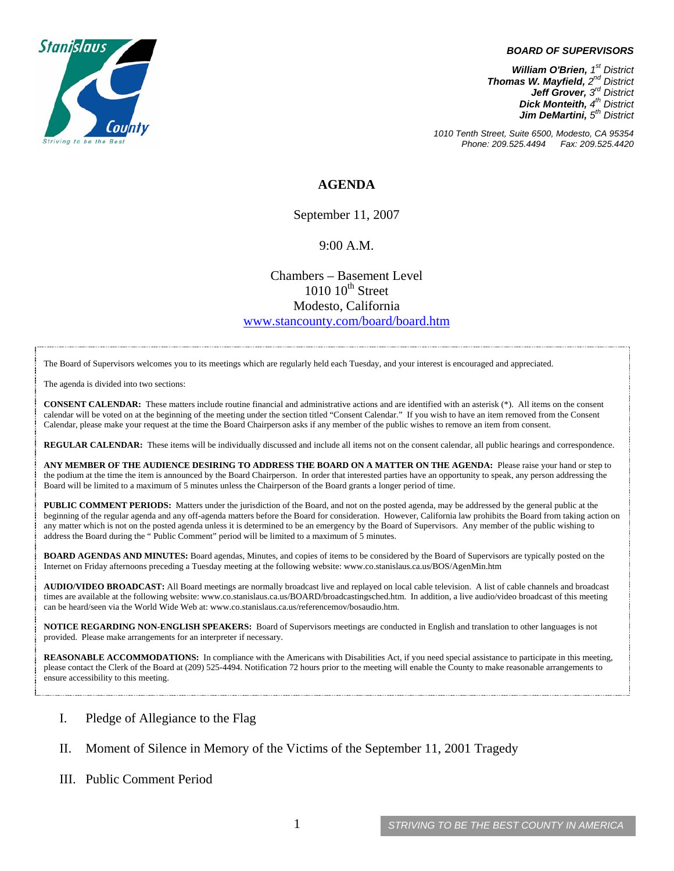

#### *BOARD OF SUPERVISORS*

*William O'Brien, 1st District Thomas W. Mayfield, 2nd District Jeff Grover, 3rd District Dick Monteith, 4th District Jim DeMartini, 5th District*

*1010 Tenth Street, Suite 6500, Modesto, CA 95354 Phone: 209.525.4494 Fax: 209.525.4420* 

## **AGENDA**

September 11, 2007

### 9:00 A.M.

Chambers – Basement Level  $1010~10^{\text{th}}$  Street Modesto, California [www.stancounty.com/board/board.htm](http://www.stancounty.com/board/board.htm)

The Board of Supervisors welcomes you to its meetings which are regularly held each Tuesday, and your interest is encouraged and appreciated.

The agenda is divided into two sections:

**CONSENT CALENDAR:** These matters include routine financial and administrative actions and are identified with an asterisk (\*). All items on the consent calendar will be voted on at the beginning of the meeting under the section titled "Consent Calendar." If you wish to have an item removed from the Consent Calendar, please make your request at the time the Board Chairperson asks if any member of the public wishes to remove an item from consent.

**REGULAR CALENDAR:** These items will be individually discussed and include all items not on the consent calendar, all public hearings and correspondence.

**ANY MEMBER OF THE AUDIENCE DESIRING TO ADDRESS THE BOARD ON A MATTER ON THE AGENDA:** Please raise your hand or step to the podium at the time the item is announced by the Board Chairperson. In order that interested parties have an opportunity to speak, any person addressing the Board will be limited to a maximum of 5 minutes unless the Chairperson of the Board grants a longer period of time.

**PUBLIC COMMENT PERIODS:** Matters under the jurisdiction of the Board, and not on the posted agenda, may be addressed by the general public at the beginning of the regular agenda and any off-agenda matters before the Board for consideration. However, California law prohibits the Board from taking action on any matter which is not on the posted agenda unless it is determined to be an emergency by the Board of Supervisors. Any member of the public wishing to address the Board during the " Public Comment" period will be limited to a maximum of 5 minutes.

**BOARD AGENDAS AND MINUTES:** Board agendas, Minutes, and copies of items to be considered by the Board of Supervisors are typically posted on the Internet on Friday afternoons preceding a Tuesday meeting at the following website: [www.co.stanislaus.ca.us/BOS/AgenMin.htm](http://www.co.stanislaus.ca.us/BOS/AgenMin.htm) 

**AUDIO/VIDEO BROADCAST:** All Board meetings are normally broadcast live and replayed on local cable television. A list of cable channels and broadcast times are available at the following website: [www.co.stanislaus.ca.us/BOARD/broadcastingsched.htm](http://www.co.stanislaus.ca.us/BOARD/broadcastingsched.htm). In addition, a live audio/video broadcast of this meeting can be heard/seen via the World Wide Web at: [www.co.stanislaus.ca.us/referencemov/bosaudio.htm.](http://www.co.stanislaus.ca.us/referencemov/bosaudio.htm)

**NOTICE REGARDING NON-ENGLISH SPEAKERS:** Board of Supervisors meetings are conducted in English and translation to other languages is not provided. Please make arrangements for an interpreter if necessary.

**REASONABLE ACCOMMODATIONS:** In compliance with the Americans with Disabilities Act, if you need special assistance to participate in this meeting, please contact the Clerk of the Board at (209) 525-4494. Notification 72 hours prior to the meeting will enable the County to make reasonable arrangements to ensure accessibility to this meeting.

#### I. Pledge of Allegiance to the Flag

#### II. Moment of Silence in Memory of the Victims of the September 11, 2001 Tragedy

#### III. Public Comment Period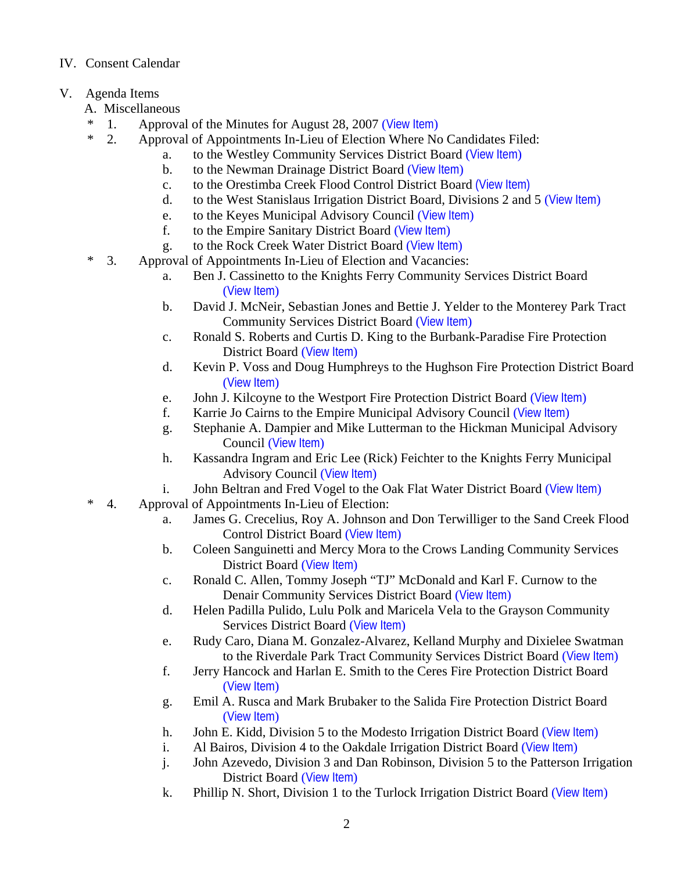# IV. Consent Calendar

- V. Agenda Items
	- A. Miscellaneous
	- \* 1. Approval of the Minutes for August 28, 2007 ([View Item](http://www.co.stanislaus.ca.us/bos/minutes/2007/min08-28-07.pdf))
	- \* 2. Approval of Appointments In-Lieu of Election Where No Candidates Filed:
		- a. to the Westley Community Services District Board ([View Item](http://www.co.stanislaus.ca.us/bos/agenda/2007/20070911/A02a.pdf))
			- b. to the Newman Drainage District Board ([View Item](http://www.co.stanislaus.ca.us/bos/agenda/2007/20070911/A02b.pdf))
			- c. to the Orestimba Creek Flood Control District Board [\(View Item\)](http://www.co.stanislaus.ca.us/bos/agenda/2007/20070911/A02c.pdf)
			- d. to the West Stanislaus Irrigation District Board, Divisions 2 and 5 ([View Item](http://www.co.stanislaus.ca.us/bos/agenda/2007/20070911/A02d.pdf))
			- e. to the Keyes Municipal Advisory Council ([View Item](http://www.co.stanislaus.ca.us/bos/agenda/2007/20070911/A02e.pdf))
			- f. to the Empire Sanitary District Board ([View Item](http://www.co.stanislaus.ca.us/bos/agenda/2007/20070911/A02f.pdf))
			- g. to the Rock Creek Water District Board ([View Item](http://www.co.stanislaus.ca.us/bos/agenda/2007/20070911/A02g.pdf))
	- \* 3. Approval of Appointments In-Lieu of Election and Vacancies:
		- a. Ben J. Cassinetto to the Knights Ferry Community Services District Board ([View Item](http://www.co.stanislaus.ca.us/bos/agenda/2007/20070911/A03a.pdf))
		- b. David J. McNeir, Sebastian Jones and Bettie J. Yelder to the Monterey Park Tract Community Services District Board ([View Item](http://www.co.stanislaus.ca.us/bos/agenda/2007/20070911/A03b.pdf))
		- c. Ronald S. Roberts and Curtis D. King to the Burbank-Paradise Fire Protection District Board ([View Item](http://www.co.stanislaus.ca.us/bos/agenda/2007/20070911/A03c.pdf))
		- d. Kevin P. Voss and Doug Humphreys to the Hughson Fire Protection District Board ([View Item](http://www.co.stanislaus.ca.us/bos/agenda/2007/20070911/A03d.pdf))
		- e. John J. Kilcoyne to the Westport Fire Protection District Board ([View Item](http://www.co.stanislaus.ca.us/bos/agenda/2007/20070911/A03e.pdf))
		- f. Karrie Jo Cairns to the Empire Municipal Advisory Council ([View Item](http://www.co.stanislaus.ca.us/bos/agenda/2007/20070911/A03f.pdf))
		- g. Stephanie A. Dampier and Mike Lutterman to the Hickman Municipal Advisory Council ([View Item](http://www.co.stanislaus.ca.us/bos/agenda/2007/20070911/A03g.pdf))
		- h. Kassandra Ingram and Eric Lee (Rick) Feichter to the Knights Ferry Municipal Advisory Council ([View Item](http://www.co.stanislaus.ca.us/bos/agenda/2007/20070911/A03h.pdf))
		- i. John Beltran and Fred Vogel to the Oak Flat Water District Board ([View Item](http://www.co.stanislaus.ca.us/bos/agenda/2007/20070911/A03i.pdf))
	- \* 4. Approval of Appointments In-Lieu of Election:
		- a. James G. Crecelius, Roy A. Johnson and Don Terwilliger to the Sand Creek Flood Control District Board ([View Item](http://www.co.stanislaus.ca.us/bos/agenda/2007/20070911/A04a.pdf))
		- b. Coleen Sanguinetti and Mercy Mora to the Crows Landing Community Services District Board ([View Item](http://www.co.stanislaus.ca.us/bos/agenda/2007/20070911/A04b.pdf))
		- c. Ronald C. Allen, Tommy Joseph "TJ" McDonald and Karl F. Curnow to the Denair Community Services District Board ([View Item](http://www.co.stanislaus.ca.us/bos/agenda/2007/20070911/A04c.pdf))
		- d. Helen Padilla Pulido, Lulu Polk and Maricela Vela to the Grayson Community Services District Board ([View Item](http://www.co.stanislaus.ca.us/bos/agenda/2007/20070911/A04d.pdf))
		- e. Rudy Caro, Diana M. Gonzalez-Alvarez, Kelland Murphy and Dixielee Swatman to the Riverdale Park Tract Community Services District Board ([View Item](http://www.co.stanislaus.ca.us/bos/agenda/2007/20070911/A04e.pdf))
		- f. Jerry Hancock and Harlan E. Smith to the Ceres Fire Protection District Board ([View Item](http://www.co.stanislaus.ca.us/bos/agenda/2007/20070911/A04f.pdf))
		- g. Emil A. Rusca and Mark Brubaker to the Salida Fire Protection District Board ([View Item](http://www.co.stanislaus.ca.us/bos/agenda/2007/20070911/A04g.pdf))
		- h. John E. Kidd, Division 5 to the Modesto Irrigation District Board ([View Item](http://www.co.stanislaus.ca.us/bos/agenda/2007/20070911/A04h.pdf))
		- i. Al Bairos, Division 4 to the Oakdale Irrigation District Board ([View Item](http://www.co.stanislaus.ca.us/bos/agenda/2007/20070911/A04i.pdf))
		- j. John Azevedo, Division 3 and Dan Robinson, Division 5 to the Patterson Irrigation District Board ([View Item](http://www.co.stanislaus.ca.us/bos/agenda/2007/20070911/A04j.pdf))
		- k. Phillip N. Short, Division 1 to the Turlock Irrigation District Board ([View Item](http://www.co.stanislaus.ca.us/bos/agenda/2007/20070911/A04k.pdf))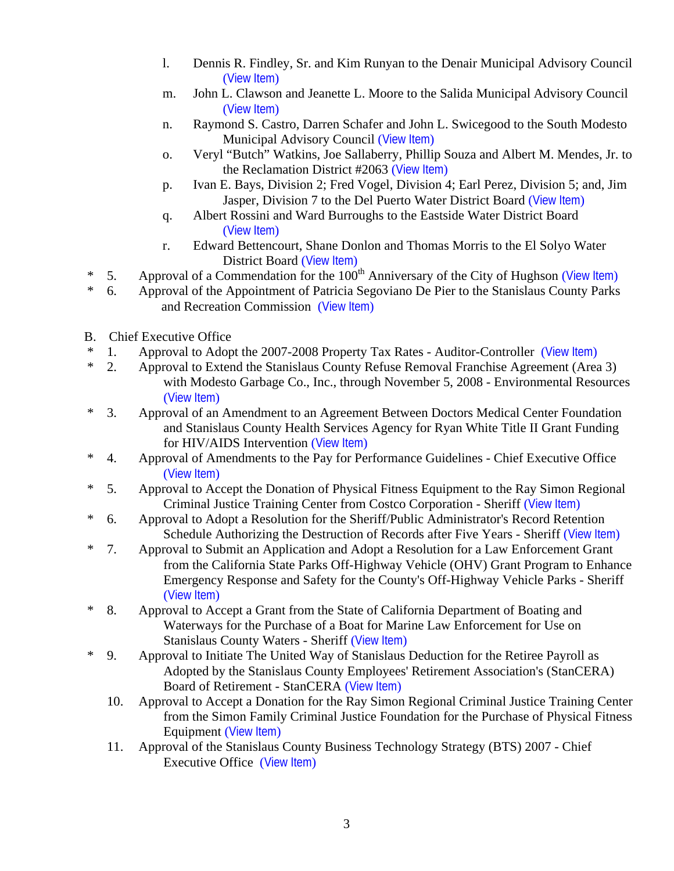- l. Dennis R. Findley, Sr. and Kim Runyan to the Denair Municipal Advisory Council ([View Item](http://www.co.stanislaus.ca.us/bos/agenda/2007/20070911/A04l.pdf))
- m. John L. Clawson and Jeanette L. Moore to the Salida Municipal Advisory Council ([View Item](http://www.co.stanislaus.ca.us/bos/agenda/2007/20070911/A04m.pdf))
- n. Raymond S. Castro, Darren Schafer and John L. Swicegood to the South Modesto Municipal Advisory Council ([View Item](http://www.co.stanislaus.ca.us/bos/agenda/2007/20070911/A04n.pdf))
- o. Veryl "Butch" Watkins, Joe Sallaberry, Phillip Souza and Albert M. Mendes, Jr. to the Reclamation District #2063 ([View Item](http://www.co.stanislaus.ca.us/bos/agenda/2007/20070911/A04o.pdf))
- p. Ivan E. Bays, Division 2; Fred Vogel, Division 4; Earl Perez, Division 5; and, Jim Jasper, Division 7 to the Del Puerto Water District Board ([View Item](http://www.co.stanislaus.ca.us/bos/agenda/2007/20070911/A04p.pdf))
- q. Albert Rossini and Ward Burroughs to the Eastside Water District Board ([View Item](http://www.co.stanislaus.ca.us/bos/agenda/2007/20070911/A04q.pdf))
- r. Edward Bettencourt, Shane Donlon and Thomas Morris to the El Solyo Water District Board ([View Item](http://www.co.stanislaus.ca.us/bos/agenda/2007/20070911/A04r.pdf))
- <sup>\*</sup> 5. Approval of a Commendation for the  $100^{th}$  Anniversary of the City of Hughson ([View Item](http://www.co.stanislaus.ca.us/bos/agenda/2007/20070911/A05.pdf))<br>  $*$  6 Approval of the Appointment of Patricia Segoviano De Pier to the Stanislaus County Parks
- \* 6. Approval of the Appointment of Patricia Segoviano De Pier to the Stanislaus County Parks and Recreation Commission ([View Item](http://www.co.stanislaus.ca.us/bos/agenda/2007/20070911/A06.pdf))
- B. Chief Executive Office
- \* 1. Approval to Adopt the 2007-2008 Property Tax Rates Auditor-Controller ([View Item](http://www.co.stanislaus.ca.us/bos/agenda/2007/20070911/B01.pdf))<br>\* 2 Approval to Extend the Stanislaus County Refuse Removal Franchise Agreement (Area
- 2. Approval to Extend the Stanislaus County Refuse Removal Franchise Agreement (Area 3) with Modesto Garbage Co., Inc., through November 5, 2008 - Environmental Resources ([View Item](http://www.co.stanislaus.ca.us/bos/agenda/2007/20070911/B02.pdf))
- \* 3. Approval of an Amendment to an Agreement Between Doctors Medical Center Foundation and Stanislaus County Health Services Agency for Ryan White Title II Grant Funding for HIV/AIDS Intervention ([View Item](http://www.co.stanislaus.ca.us/bos/agenda/2007/20070911/B03.pdf))
- \* 4. Approval of Amendments to the Pay for Performance Guidelines Chief Executive Office ([View Item](http://www.co.stanislaus.ca.us/bos/agenda/2007/20070911/B04.pdf))
- \* 5. Approval to Accept the Donation of Physical Fitness Equipment to the Ray Simon Regional Criminal Justice Training Center from Costco Corporation - Sheriff ([View Item](http://www.co.stanislaus.ca.us/bos/agenda/2007/20070911/B05.pdf))
- \* 6. Approval to Adopt a Resolution for the Sheriff/Public Administrator's Record Retention Schedule Authorizing the Destruction of Records after Five Years - Sheriff ([View Item](http://www.co.stanislaus.ca.us/bos/agenda/2007/20070911/B06.pdf))
- \* 7. Approval to Submit an Application and Adopt a Resolution for a Law Enforcement Grant from the California State Parks Off-Highway Vehicle (OHV) Grant Program to Enhance Emergency Response and Safety for the County's Off-Highway Vehicle Parks - Sheriff ([View Item](http://www.co.stanislaus.ca.us/bos/agenda/2007/20070911/B07.pdf))
- \* 8. Approval to Accept a Grant from the State of California Department of Boating and Waterways for the Purchase of a Boat for Marine Law Enforcement for Use on Stanislaus County Waters - Sheriff ([View Item](http://www.co.stanislaus.ca.us/bos/agenda/2007/20070911/B08.pdf))
- \* 9. Approval to Initiate The United Way of Stanislaus Deduction for the Retiree Payroll as Adopted by the Stanislaus County Employees' Retirement Association's (StanCERA) Board of Retirement - StanCERA ([View Item](http://www.co.stanislaus.ca.us/bos/agenda/2007/20070911/B09.pdf))
	- 10. Approval to Accept a Donation for the Ray Simon Regional Criminal Justice Training Center from the Simon Family Criminal Justice Foundation for the Purchase of Physical Fitness Equipment ([View Item](http://www.co.stanislaus.ca.us/bos/agenda/2007/20070911/B10.pdf))
	- 11. Approval of the Stanislaus County Business Technology Strategy (BTS) 2007 Chief Executive Office ([View Item](http://www.co.stanislaus.ca.us/bos/agenda/2007/20070911/B11.pdf))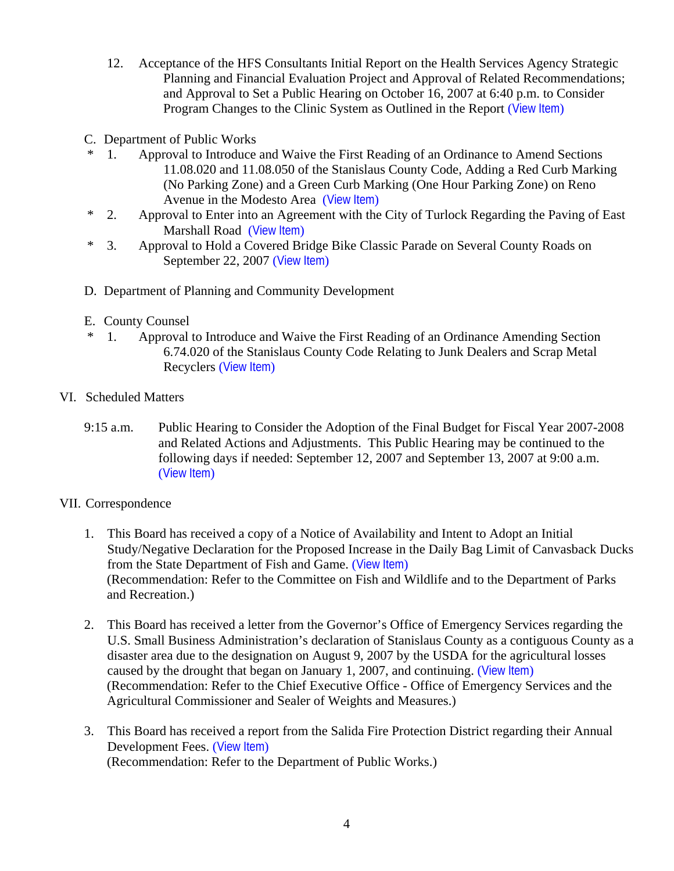- 12. Acceptance of the HFS Consultants Initial Report on the Health Services Agency Strategic Planning and Financial Evaluation Project and Approval of Related Recommendations; and Approval to Set a Public Hearing on October 16, 2007 at 6:40 p.m. to Consider Program Changes to the Clinic System as Outlined in the Report ([View Item](http://www.co.stanislaus.ca.us/bos/agenda/2007/20070911/B12.pdf))
- C. Department of Public Works
- \* 1. Approval to Introduce and Waive the First Reading of an Ordinance to Amend Sections 11.08.020 and 11.08.050 of the Stanislaus County Code, Adding a Red Curb Marking (No Parking Zone) and a Green Curb Marking (One Hour Parking Zone) on Reno Avenue in the Modesto Area ([View Item](http://www.co.stanislaus.ca.us/bos/agenda/2007/20070911/C01.pdf))
- \* 2. Approval to Enter into an Agreement with the City of Turlock Regarding the Paving of East Marshall Road ([View Item](http://www.co.stanislaus.ca.us/bos/agenda/2007/20070911/C02.pdf))
- \* 3. Approval to Hold a Covered Bridge Bike Classic Parade on Several County Roads on September 22, 2007 ([View Item](http://www.co.stanislaus.ca.us/bos/agenda/2007/20070911/C03.pdf))
- D. Department of Planning and Community Development
- E. County Counsel
- \* 1. Approval to Introduce and Waive the First Reading of an Ordinance Amending Section 6.74.020 of the Stanislaus County Code Relating to Junk Dealers and Scrap Metal Recyclers ([View Item](http://www.co.stanislaus.ca.us/bos/agenda/2007/20070911/E01.pdf))
- VI. Scheduled Matters
	- 9:15 a.m. Public Hearing to Consider the Adoption of the Final Budget for Fiscal Year 2007-2008 and Related Actions and Adjustments. This Public Hearing may be continued to the following days if needed: September 12, 2007 and September 13, 2007 at 9:00 a.m. ([View Item](http://www.co.stanislaus.ca.us/bos/agenda/2007/20070911/PH915.pdf))

## VII. Correspondence

- 1. This Board has received a copy of a Notice of Availability and Intent to Adopt an Initial Study/Negative Declaration for the Proposed Increase in the Daily Bag Limit of Canvasback Ducks from the State Department of Fish and Game. ([View Item](http://www.co.stanislaus.ca.us/bos/agenda/2007/20070911/Corr01.pdf)) (Recommendation: Refer to the Committee on Fish and Wildlife and to the Department of Parks and Recreation.)
- 2. This Board has received a letter from the Governor's Office of Emergency Services regarding the U.S. Small Business Administration's declaration of Stanislaus County as a contiguous County as a disaster area due to the designation on August 9, 2007 by the USDA for the agricultural losses caused by the drought that began on January 1, 2007, and continuing. ([View Item](http://www.co.stanislaus.ca.us/bos/agenda/2007/20070911/Corr02.pdf)) (Recommendation: Refer to the Chief Executive Office - Office of Emergency Services and the Agricultural Commissioner and Sealer of Weights and Measures.)
- 3. This Board has received a report from the Salida Fire Protection District regarding their Annual Development Fees. ([View Item](http://www.co.stanislaus.ca.us/bos/agenda/2007/20070911/Corr03.pdf)) (Recommendation: Refer to the Department of Public Works.)